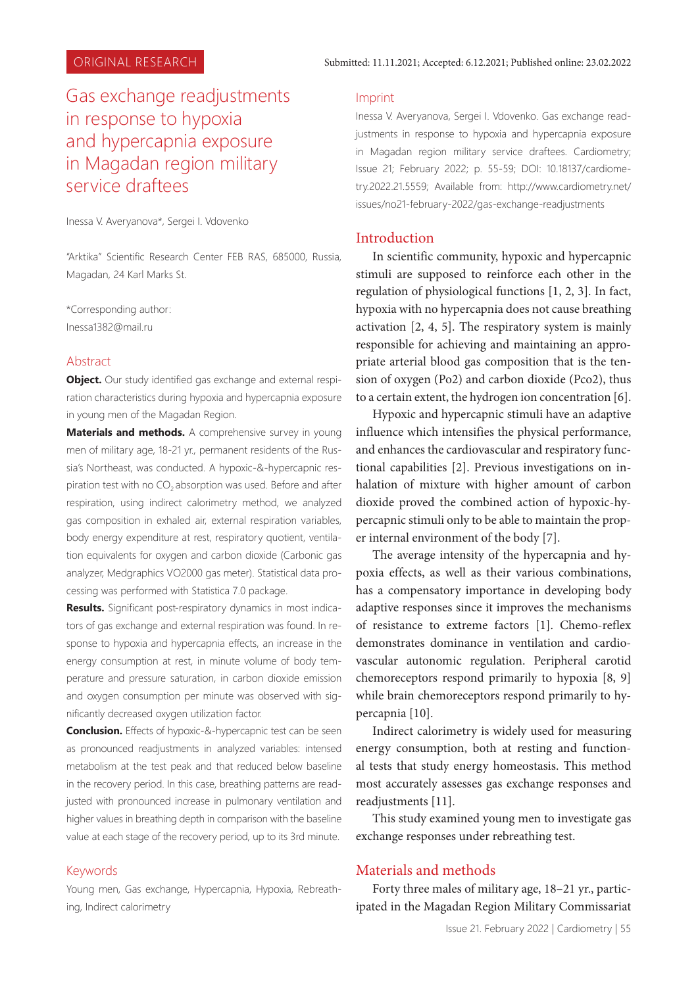# Gas exchange readjustments in response to hypoxia and hypercapnia exposure in Magadan region military service draftees

Inessa V. Averyanova\*, Sergei I. Vdovenko

"Arktika" Scientific Research Center FEB RAS, 685000, Russia, Magadan, 24 Karl Marks St.

\*Corresponding author: Inessa1382@mail.ru

#### Abstract

**Object.** Our study identified gas exchange and external respiration characteristics during hypoxia and hypercapnia exposure in young men of the Magadan Region.

**Materials and methods.** A comprehensive survey in young men of military age, 18-21 yr., permanent residents of the Russia's Northeast, was conducted. A hypoxic-&-hypercapnic respiration test with no  $CO<sub>2</sub>$  absorption was used. Before and after respiration, using indirect calorimetry method, we analyzed gas composition in exhaled air, external respiration variables, body energy expenditure at rest, respiratory quotient, ventilation equivalents for oxygen and carbon dioxide (Carbonic gas analyzer, Medgraphics VO2000 gas meter). Statistical data processing was performed with Statistica 7.0 package.

**Results.** Significant post-respiratory dynamics in most indicators of gas exchange and external respiration was found. In response to hypoxia and hypercapnia effects, an increase in the energy consumption at rest, in minute volume of body temperature and pressure saturation, in carbon dioxide emission and oxygen consumption per minute was observed with significantly decreased oxygen utilization factor.

**Conclusion.** Effects of hypoxic-&-hypercapnic test can be seen as pronounced readjustments in analyzed variables: intensed metabolism at the test peak and that reduced below baseline in the recovery period. In this case, breathing patterns are readjusted with pronounced increase in pulmonary ventilation and higher values in breathing depth in comparison with the baseline value at each stage of the recovery period, up to its 3rd minute.

#### Keywords

Young men, Gas exchange, Hypercapnia, Hypoxia, Rebreathing, Indirect calorimetry

#### Imprint

Inessa V. Averyanova, Sergei I. Vdovenko. Gas exchange readjustments in response to hypoxia and hypercapnia exposure in Magadan region military service draftees. Cardiometry; Issue 21; February 2022; p. 55-59; DOI: 10.18137/cardiometry.2022.21.5559; Available from: http://www.cardiometry.net/ issues/no21-february-2022/gas-exchange-readjustments

#### Introduction

In scientific community, hypoxic and hypercapnic stimuli are supposed to reinforce each other in the regulation of physiological functions [1, 2, 3]. In fact, hypoxia with no hypercapnia does not cause breathing activation [2, 4, 5]. The respiratory system is mainly responsible for achieving and maintaining an appropriate arterial blood gas composition that is the tension of oxygen (Po2) and carbon dioxide (Pco2), thus to a certain extent, the hydrogen ion concentration [6].

Hypoxic and hypercapnic stimuli have an adaptive influence which intensifies the physical performance, and enhances the cardiovascular and respiratory functional capabilities [2]. Previous investigations on inhalation of mixture with higher amount of carbon dioxide proved the combined action of hypoxic-hypercapnic stimuli only to be able to maintain the proper internal environment of the body [7].

The average intensity of the hypercapnia and hypoxia effects, as well as their various combinations, has a compensatory importance in developing body adaptive responses since it improves the mechanisms of resistance to extreme factors [1]. Chemo-reflex demonstrates dominance in ventilation and cardiovascular autonomic regulation. Peripheral carotid chemoreceptors respond primarily to hypoxia [8, 9] while brain chemoreceptors respond primarily to hypercapnia [10].

Indirect calorimetry is widely used for measuring energy consumption, both at resting and functional tests that study energy homeostasis. This method most accurately assesses gas exchange responses and readjustments [11].

This study examined young men to investigate gas exchange responses under rebreathing test.

# Materials and methods

Forty three males of military age, 18–21 yr., participated in the Magadan Region Military Commissariat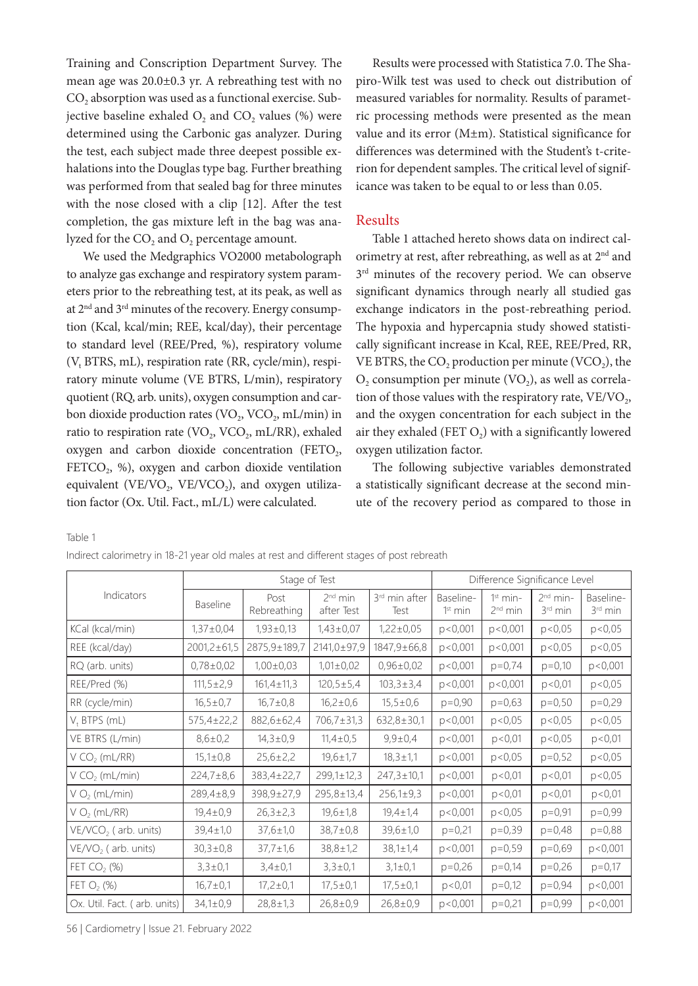Training and Conscription Department Survey. The mean age was 20.0±0.3 yr. A rebreathing test with no CO<sub>2</sub> absorption was used as a functional exercise. Subjective baseline exhaled  $O_2$  and  $CO_2$  values (%) were determined using the Carbonic gas analyzer. During the test, each subject made three deepest possible exhalations into the Douglas type bag. Further breathing was performed from that sealed bag for three minutes with the nose closed with a clip [12]. After the test completion, the gas mixture left in the bag was analyzed for the  $CO<sub>2</sub>$  and  $O<sub>2</sub>$  percentage amount.

We used the Medgraphics VO2000 metabolograph to analyze gas exchange and respiratory system parameters prior to the rebreathing test, at its peak, as well as at 2nd and 3rd minutes of the recovery. Energy consumption (Kcal, kcal/min; REE, kcal/day), their percentage to standard level (REE/Pred, %), respiratory volume (V<sub>t</sub> BTRS, mL), respiration rate (RR, cycle/min), respiratory minute volume (VE BTRS, L/min), respiratory quotient (RQ, arb. units), oxygen consumption and carbon dioxide production rates ( $VO<sub>2</sub>$ ,  $VCO<sub>2</sub>$ , mL/min) in ratio to respiration rate (VO<sub>2</sub>, VCO<sub>2</sub>, mL/RR), exhaled oxygen and carbon dioxide concentration (FETO $_2$ , FETCO<sub>2</sub>, %), oxygen and carbon dioxide ventilation equivalent (VE/VO<sub>2</sub>, VE/VCO<sub>2</sub>), and oxygen utilization factor (Ox. Util. Fact., mL/L) were calculated.

Results were processed with Statistica 7.0. The Shapiro-Wilk test was used to check out distribution of measured variables for normality. Results of parametric processing methods were presented as the mean value and its error (M±m). Statistical significance for differences was determined with the Student's t-criterion for dependent samples. The critical level of significance was taken to be equal to or less than 0.05.

#### Results

Table 1 attached hereto shows data on indirect calorimetry at rest, after rebreathing, as well as at  $2<sup>nd</sup>$  and  $3<sup>rd</sup>$  minutes of the recovery period. We can observe significant dynamics through nearly all studied gas exchange indicators in the post-rebreathing period. The hypoxia and hypercapnia study showed statistically significant increase in Kcal, REE, REE/Pred, RR, VE BTRS, the  $CO<sub>2</sub>$  production per minute (VCO<sub>2</sub>), the  $O<sub>2</sub>$  consumption per minute (VO<sub>2</sub>), as well as correlation of those values with the respiratory rate,  $VE/VO<sub>2</sub>$ , and the oxygen concentration for each subject in the air they exhaled (FET  $O<sub>2</sub>$ ) with a significantly lowered oxygen utilization factor.

The following subjective variables demonstrated a statistically significant decrease at the second minute of the recovery period as compared to those in

Table 1

| Indirect calorimetry in 18-21 year old males at rest and different stages of post rebreath |  |  |  |  |  |
|--------------------------------------------------------------------------------------------|--|--|--|--|--|
|--------------------------------------------------------------------------------------------|--|--|--|--|--|

| Indicators                   | Stage of Test     |                     |                         |                                   | Difference Significance Level    |                                   |                                   |                                  |
|------------------------------|-------------------|---------------------|-------------------------|-----------------------------------|----------------------------------|-----------------------------------|-----------------------------------|----------------------------------|
|                              | <b>Baseline</b>   | Post<br>Rebreathing | $2nd$ min<br>after Test | 3 <sup>rd</sup> min after<br>Test | Baseline-<br>1 <sup>st</sup> min | $1st min-$<br>2 <sup>nd</sup> min | $2nd min-$<br>3 <sup>rd</sup> min | Baseline-<br>3 <sup>rd</sup> min |
| KCal (kcal/min)              | $1,37\pm0,04$     | $1,93 \pm 0,13$     | $1,43\pm0,07$           | $1,22\pm0,05$                     | p < 0,001                        | p < 0,001                         | p < 0.05                          | p < 0.05                         |
| REE (kcal/day)               | $2001,2 \pm 61,5$ | 2875,9±189,7        | 2141,0±97,9             | 1847, 9±66, 8                     | p<0,001                          | p < 0,001                         | p < 0.05                          | p < 0.05                         |
| RQ (arb. units)              | $0,78\pm0,02$     | $1,00\pm0,03$       | $1,01\pm0,02$           | $0,96\pm0,02$                     | p < 0,001                        | $p=0,74$                          | $p=0,10$                          | p<0,001                          |
| REE/Pred (%)                 | $111,5 \pm 2,9$   | $161,4 \pm 11,3$    | $120,5 \pm 5,4$         | $103,3 \pm 3,4$                   | p < 0,001                        | p < 0,001                         | p < 0,01                          | p < 0.05                         |
| RR (cycle/min)               | $16,5 \pm 0.7$    | $16,7 \pm 0,8$      | $16,2 \pm 0,6$          | $15,5 \pm 0,6$                    | $p=0,90$                         | $p=0,63$                          | $p=0,50$                          | $p=0,29$                         |
| $V+$ BTPS (mL)               | 575,4±22,2        | 882,6±62,4          | 706,7±31,3              | $632,8 \pm 30,1$                  | p < 0,001                        | p < 0.05                          | p < 0.05                          | p < 0.05                         |
| VE BTRS (L/min)              | $8,6 \pm 0,2$     | $14,3 \pm 0.9$      | $11,4\pm0,5$            | $9,9 \pm 0,4$                     | p < 0,001                        | p < 0,01                          | p < 0.05                          | p < 0,01                         |
| V CO <sub>2</sub> (mL/RR)    | $15,1 \pm 0,8$    | $25,6 \pm 2,2$      | $19,6 \pm 1,7$          | $18,3 \pm 1,1$                    | p < 0,001                        | p < 0.05                          | $p=0,52$                          | p < 0.05                         |
| V CO <sub>2</sub> (mL/min)   | $224,7 \pm 8,6$   | 383,4±22,7          | 299,1±12,3              | $247,3 \pm 10,1$                  | p < 0,001                        | p < 0,01                          | p < 0.01                          | p < 0.05                         |
| V O <sub>2</sub> (mL/min)    | $289,4 \pm 8,9$   | 398,9±27,9          | $295,8 \pm 13,4$        | $256,1 \pm 9,3$                   | p < 0,001                        | p < 0,01                          | p < 0.01                          | p < 0.01                         |
| V O <sub>2</sub> (mL/RR)     | $19,4 \pm 0,9$    | $26,3 \pm 2,3$      | $19,6 \pm 1,8$          | $19,4 \pm 1,4$                    | p < 0,001                        | p < 0.05                          | $p=0.91$                          | $p=0,99$                         |
| $VE/VCO2$ (arb. units)       | $39,4 \pm 1,0$    | $37,6 \pm 1,0$      | $38,7 \pm 0,8$          | $39,6 \pm 1,0$                    | $p=0,21$                         | $p=0,39$                          | $p=0,48$                          | $p=0,88$                         |
| $VE/VO2$ (arb. units)        | $30,3 \pm 0,8$    | $37,7 \pm 1,6$      | $38,8 \pm 1,2$          | $38,1 \pm 1,4$                    | p < 0,001                        | $p=0,59$                          | $p=0,69$                          | p<0,001                          |
| FET $CO2$ (%)                | $3,3 \pm 0,1$     | $3,4 \pm 0,1$       | $3,3 \pm 0,1$           | $3,1 \pm 0,1$                     | $p=0,26$                         | $p=0,14$                          | $p=0,26$                          | $p=0,17$                         |
| FET $O_2$ (%)                | $16,7 \pm 0,1$    | $17,2 \pm 0,1$      | $17,5 \pm 0.1$          | $17,5 \pm 0.1$                    | p < 0,01                         | $p=0,12$                          | $p=0.94$                          | p < 0,001                        |
| Ox. Util. Fact. (arb. units) | $34,1 \pm 0,9$    | $28,8 \pm 1,3$      | $26,8 \pm 0,9$          | $26,8 \pm 0,9$                    | p < 0,001                        | $p=0,21$                          | $p=0,99$                          | p < 0,001                        |

56 | Cardiometry | Issue 21. February 2022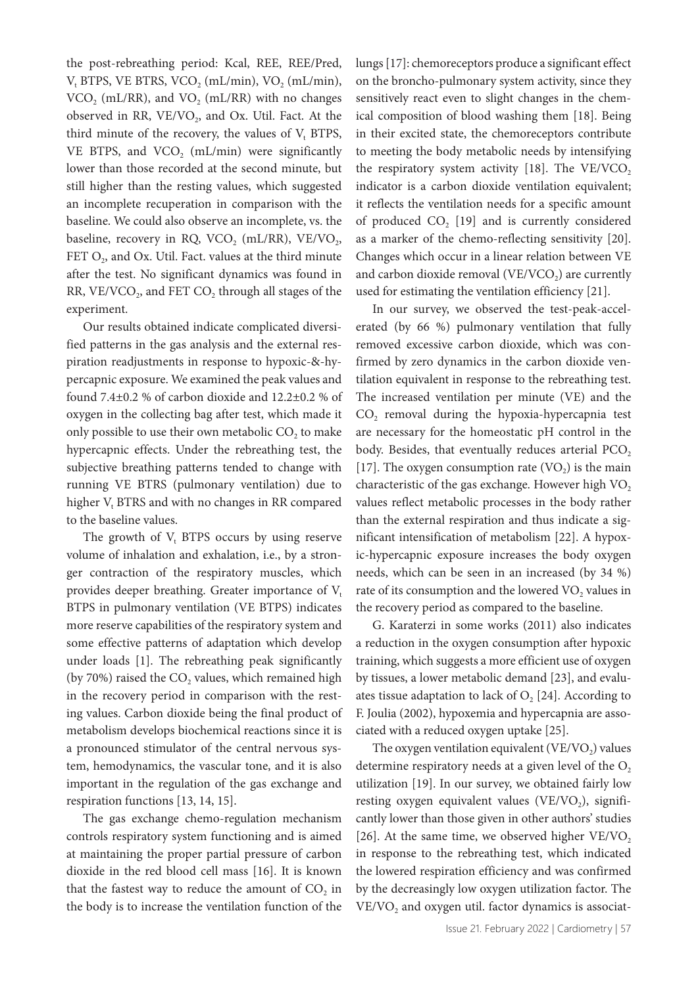the post-rebreathing period: Kcal, REE, REE/Pred,  $V_t$  BTPS, VE BTRS, VCO<sub>2</sub> (mL/min), VO<sub>2</sub> (mL/min),  $VCO<sub>2</sub>$  (mL/RR), and  $VO<sub>2</sub>$  (mL/RR) with no changes observed in RR,  $VE/VO_2$ , and Ox. Util. Fact. At the third minute of the recovery, the values of  $V_t$  BTPS, VE BTPS, and  $VCO<sub>2</sub>$  (mL/min) were significantly lower than those recorded at the second minute, but still higher than the resting values, which suggested an incomplete recuperation in comparison with the baseline. We could also observe an incomplete, vs. the baseline, recovery in RQ, VCO<sub>2</sub> (mL/RR), VE/VO<sub>2</sub>, FET  $O_2$ , and Ox. Util. Fact. values at the third minute after the test. No significant dynamics was found in RR,  $VE/VCO<sub>2</sub>$ , and FET  $CO<sub>2</sub>$  through all stages of the experiment.

Our results obtained indicate complicated diversified patterns in the gas analysis and the external respiration readjustments in response to hypoxic-&-hypercapnic exposure. We examined the peak values and found 7.4±0.2 % of carbon dioxide and 12.2±0.2 % of oxygen in the collecting bag after test, which made it only possible to use their own metabolic CO<sub>2</sub> to make hypercapnic effects. Under the rebreathing test, the subjective breathing patterns tended to change with running VE BTRS (pulmonary ventilation) due to higher  $V_t$  BTRS and with no changes in RR compared to the baseline values.

The growth of  $V_t$  BTPS occurs by using reserve volume of inhalation and exhalation, i.e., by a stronger contraction of the respiratory muscles, which provides deeper breathing. Greater importance of  $V_t$ ВТPS in pulmonary ventilation (VE ВТPS) indicates more reserve capabilities of the respiratory system and some effective patterns of adaptation which develop under loads [1]. The rebreathing peak significantly (by 70%) raised the  $CO<sub>2</sub>$  values, which remained high in the recovery period in comparison with the resting values. Carbon dioxide being the final product of metabolism develops biochemical reactions since it is a pronounced stimulator of the central nervous system, hemodynamics, the vascular tone, and it is also important in the regulation of the gas exchange and respiration functions [13, 14, 15].

The gas exchange chemo-regulation mechanism controls respiratory system functioning and is aimed at maintaining the proper partial pressure of carbon dioxide in the red blood cell mass [16]. It is known that the fastest way to reduce the amount of  $CO<sub>2</sub>$  in the body is to increase the ventilation function of the

lungs [17]: chemoreceptors produce a significant effect on the broncho-pulmonary system activity, since they sensitively react even to slight changes in the chemical composition of blood washing them [18]. Being in their excited state, the chemoreceptors contribute to meeting the body metabolic needs by intensifying the respiratory system activity  $[18]$ . The VE/VCO<sub>2</sub> indicator is a carbon dioxide ventilation equivalent; it reflects the ventilation needs for a specific amount of produced  $CO<sub>2</sub>$  [19] and is currently considered as a marker of the chemo-reflecting sensitivity [20]. Changes which occur in a linear relation between VE and carbon dioxide removal  $(VE/VCO<sub>2</sub>)$  are currently used for estimating the ventilation efficiency [21].

In our survey, we observed the test-peak-accelerated (by 66 %) pulmonary ventilation that fully removed excessive carbon dioxide, which was confirmed by zero dynamics in the carbon dioxide ventilation equivalent in response to the rebreathing test. The increased ventilation per minute (VE) and the  $CO<sub>2</sub>$  removal during the hypoxia-hypercapnia test are necessary for the homeostatic pH control in the body. Besides, that eventually reduces arterial  $PCO<sub>2</sub>$ [17]. The oxygen consumption rate  $(VO<sub>2</sub>)$  is the main characteristic of the gas exchange. However high VO<sub>2</sub> values reflect metabolic processes in the body rather than the external respiration and thus indicate a significant intensification of metabolism [22]. A hypoxic-hypercapnic exposure increases the body oxygen needs, which can be seen in an increased (by 34 %) rate of its consumption and the lowered VO<sub>2</sub> values in the recovery period as compared to the baseline.

G. Karaterzi in some works (2011) also indicates a reduction in the oxygen consumption after hypoxic training, which suggests a more efficient use of oxygen by tissues, a lower metabolic demand [23], and evaluates tissue adaptation to lack of  $O<sub>2</sub>$  [24]. According to F. Joulia (2002), hypoxemia and hypercapnia are associated with a reduced oxygen uptake [25].

The oxygen ventilation equivalent (VE/VO<sub>2</sub>) values determine respiratory needs at a given level of the  $O<sub>2</sub>$ utilization [19]. In our survey, we obtained fairly low resting oxygen equivalent values (VE/VO<sub>2</sub>), significantly lower than those given in other authors' studies [26]. At the same time, we observed higher  $VE/VO<sub>2</sub>$ in response to the rebreathing test, which indicated the lowered respiration efficiency and was confirmed by the decreasingly low oxygen utilization factor. The VE/VO<sub>2</sub> and oxygen util. factor dynamics is associat-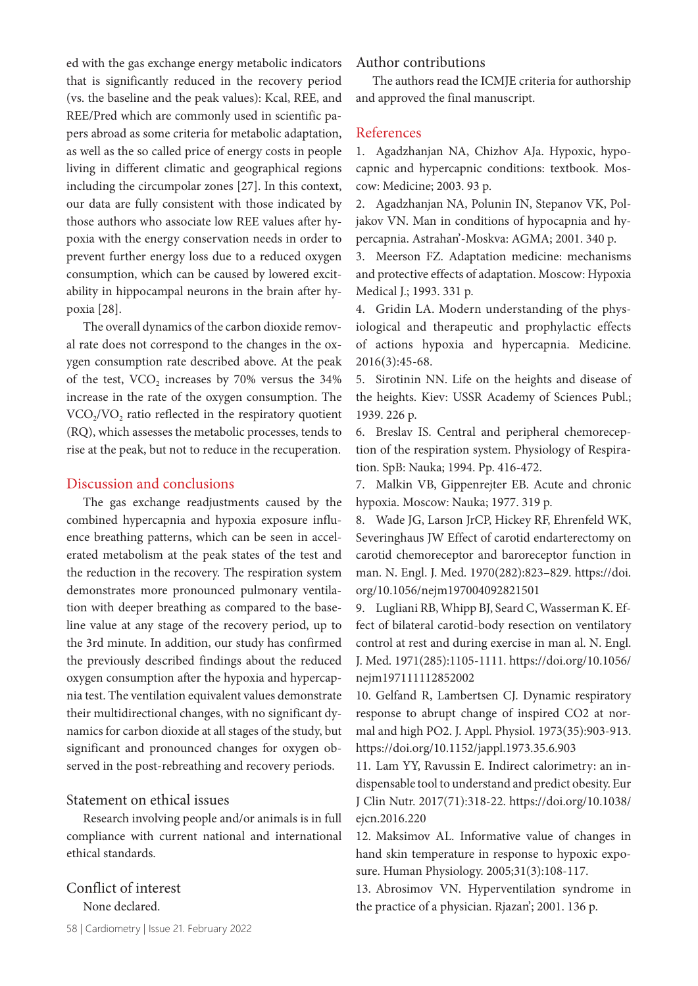ed with the gas exchange energy metabolic indicators that is significantly reduced in the recovery period (vs. the baseline and the peak values): Kcal, REE, and REE/Pred which are commonly used in scientific papers abroad as some criteria for metabolic adaptation, as well as the so called price of energy costs in people living in different climatic and geographical regions including the circumpolar zones [27]. In this context, our data are fully consistent with those indicated by those authors who associate low REE values after hypoxia with the energy conservation needs in order to prevent further energy loss due to a reduced oxygen consumption, which can be caused by lowered excitability in hippocampal neurons in the brain after hypoxia [28].

The overall dynamics of the carbon dioxide removal rate does not correspond to the changes in the oxygen consumption rate described above. At the peak of the test, VCO<sub>2</sub> increases by 70% versus the 34% increase in the rate of the oxygen consumption. The  $VCO<sub>2</sub>/VO<sub>2</sub>$  ratio reflected in the respiratory quotient (RQ), which assesses the metabolic processes, tends to rise at the peak, but not to reduce in the recuperation.

## Discussion and conclusions

The gas exchange readjustments caused by the combined hypercapnia and hypoxia exposure influence breathing patterns, which can be seen in accelerated metabolism at the peak states of the test and the reduction in the recovery. The respiration system demonstrates more pronounced pulmonary ventilation with deeper breathing as compared to the baseline value at any stage of the recovery period, up to the 3rd minute. In addition, our study has confirmed the previously described findings about the reduced oxygen consumption after the hypoxia and hypercapnia test. The ventilation equivalent values demonstrate their multidirectional changes, with no significant dynamics for carbon dioxide at all stages of the study, but significant and pronounced changes for oxygen observed in the post-rebreathing and recovery periods.

# Statement on ethical issues

Research involving people and/or animals is in full compliance with current national and international ethical standards.

# Conflict of interest None declared.

58 | Cardiometry | Issue 21. February 2022

Author contributions

The authors read the ICMJE criteria for authorship and approved the final manuscript.

## References

1. Agadzhanjan NA, Chizhov AJa. Hypoxic, hypocapnic and hypercapnic conditions: textbook. Мoscow: Medicine; 2003. 93 p.

2. Agadzhanjan NA, Polunin IN, Stepanov VK, Poljakov VN. Man in conditions of hypocapnia and hypercapnia. Astrahan'-Moskva: AGMA; 2001. 340 p.

3. Meerson FZ. Adaptation medicine: mechanisms and protective effects of adaptation. Мoscow: Hypoxia Medical J.; 1993. 331 p.

4. Gridin LA. Modern understanding of the physiological and therapeutic and prophylactic effects of actions hypoxia and hypercapnia. Medicine. 2016(3):45-68.

5. Sirotinin NN. Life on the heights and disease of the heights. Kiev: USSR Academy of Sciences Publ.; 1939. 226 p.

6. Breslav IS. Central and peripheral chemoreception of the respiration system. Physiology of Respiration. SpB: Nauka; 1994. Pp. 416-472.

7. Malkin VB, Gippenrejter EB. Acute and chronic hypoxia. Мoscow: Nauka; 1977. 319 p.

8. Wade JG, Larson JrCP, Hickey RF, Ehrenfeld WK, Severinghaus JW Effect of carotid endarterectomy on carotid chemoreceptor and baroreceptor function in man. N. Engl. J. Med. 1970(282):823–829. https://doi. org/10.1056/nejm197004092821501

9. Lugliani RB, Whipp BJ, Seard C, Wasserman K. Effect of bilateral carotid-body resection on ventilatory control at rest and during exercise in man al. N. Engl. J. Med. 1971(285):1105-1111. https://doi.org/10.1056/ nejm197111112852002

10. Gelfand R, Lambertsen CJ. Dynamic respiratory response to abrupt change of inspired CO2 at normal and high PO2. J. Appl. Physiol. 1973(35):903-913. https://doi.org/10.1152/jappl.1973.35.6.903

11. Lam YY, Ravussin E. Indirect calorimetry: an indispensable tool to understand and predict obesity. Eur J Clin Nutr. 2017(71):318-22. https://doi.org/10.1038/ ejcn.2016.220

12. Maksimov AL. Informative value of changes in hand skin temperature in response to hypoxic exposure. Human Physiology. 2005;31(3):108-117.

13. Abrosimov VN. Hyperventilation syndrome in the practice of a physician. Rjazan'; 2001. 136 p.